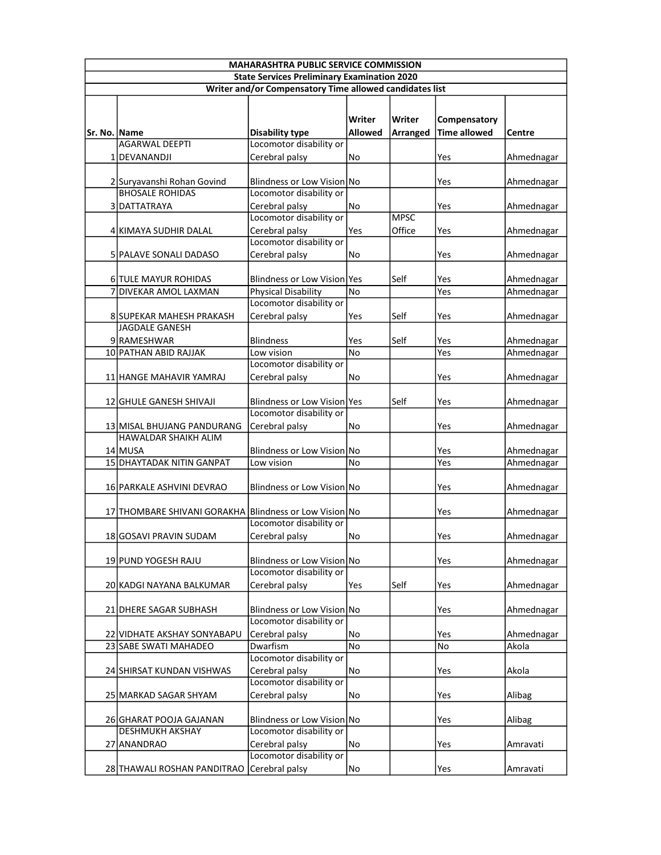| <b>MAHARASHTRA PUBLIC SERVICE COMMISSION</b>            |                                                        |                                                       |                   |                       |                                     |            |  |
|---------------------------------------------------------|--------------------------------------------------------|-------------------------------------------------------|-------------------|-----------------------|-------------------------------------|------------|--|
| <b>State Services Preliminary Examination 2020</b>      |                                                        |                                                       |                   |                       |                                     |            |  |
| Writer and/or Compensatory Time allowed candidates list |                                                        |                                                       |                   |                       |                                     |            |  |
| Sr. No. Name                                            |                                                        | <b>Disability type</b>                                | Writer<br>Allowed | Writer<br>Arranged    | Compensatory<br><b>Time allowed</b> | Centre     |  |
|                                                         | <b>AGARWAL DEEPTI</b>                                  | Locomotor disability or                               |                   |                       |                                     |            |  |
|                                                         | 1 IDEVANANDJI                                          | Cerebral palsy                                        | No                |                       | Yes                                 | Ahmednagar |  |
|                                                         | 2 Suryavanshi Rohan Govind                             | Blindness or Low Vision No                            |                   |                       | Yes                                 | Ahmednagar |  |
|                                                         | <b>BHOSALE ROHIDAS</b>                                 | Locomotor disability or                               |                   |                       |                                     |            |  |
|                                                         | 3 DATTATRAYA                                           | Cerebral palsy                                        | No                |                       | Yes                                 | Ahmednagar |  |
|                                                         | 4 KIMAYA SUDHIR DALAL                                  | Locomotor disability or<br>Cerebral palsy             | Yes               | <b>MPSC</b><br>Office | Yes                                 | Ahmednagar |  |
|                                                         | 5 PALAVE SONALI DADASO                                 | Locomotor disability or<br>Cerebral palsy             | No                |                       | Yes                                 | Ahmednagar |  |
|                                                         |                                                        |                                                       |                   |                       |                                     |            |  |
|                                                         | 6 TULE MAYUR ROHIDAS                                   | Blindness or Low Vision Yes                           |                   | Self                  | Yes                                 | Ahmednagar |  |
|                                                         | 7 DIVEKAR AMOL LAXMAN                                  | <b>Physical Disability</b>                            | No                |                       | Yes                                 | Ahmednagar |  |
|                                                         |                                                        | Locomotor disability or                               |                   |                       |                                     |            |  |
|                                                         | 8 SUPEKAR MAHESH PRAKASH                               | Cerebral palsy                                        | Yes               | Self                  | Yes                                 | Ahmednagar |  |
|                                                         | JAGDALE GANESH                                         |                                                       |                   |                       |                                     |            |  |
|                                                         | 9RAMESHWAR                                             | <b>Blindness</b>                                      | Yes               | Self                  | Yes                                 | Ahmednagar |  |
|                                                         | 10 PATHAN ABID RAJJAK                                  | Low vision                                            | No                |                       | Yes                                 | Ahmednagar |  |
|                                                         |                                                        | Locomotor disability or                               |                   |                       |                                     |            |  |
|                                                         | 11 HANGE MAHAVIR YAMRAJ                                | Cerebral palsy                                        | No                |                       | Yes                                 | Ahmednagar |  |
|                                                         | 12 GHULE GANESH SHIVAJI                                | Blindness or Low Vision Yes                           |                   | Self                  | Yes                                 | Ahmednagar |  |
|                                                         |                                                        | Locomotor disability or                               |                   |                       |                                     |            |  |
|                                                         | 13 MISAL BHUJANG PANDURANG                             | Cerebral palsy                                        | No                |                       | Yes                                 | Ahmednagar |  |
|                                                         | <b>HAWALDAR SHAIKH ALIM</b>                            |                                                       |                   |                       |                                     |            |  |
|                                                         | 14 MUSA<br>15 DHAYTADAK NITIN GANPAT                   | Blindness or Low Vision No                            |                   |                       | Yes<br>Yes                          | Ahmednagar |  |
|                                                         |                                                        | Low vision                                            | No                |                       |                                     | Ahmednagar |  |
|                                                         | 16 PARKALE ASHVINI DEVRAO                              | Blindness or Low Vision No                            |                   |                       | Yes                                 | Ahmednagar |  |
|                                                         | 17 THOMBARE SHIVANI GORAKHA Blindness or Low Vision No |                                                       |                   |                       |                                     |            |  |
|                                                         |                                                        | Locomotor disability or                               |                   |                       | Yes                                 | Ahmednagar |  |
|                                                         | 18 GOSAVI PRAVIN SUDAM                                 | Cerebral palsy                                        | No                |                       | <b>Yes</b>                          | Ahmednagar |  |
|                                                         |                                                        |                                                       |                   |                       |                                     |            |  |
|                                                         | 19 PUND YOGESH RAJU                                    | Blindness or Low Vision No<br>Locomotor disability or |                   |                       | Yes                                 | Ahmednagar |  |
|                                                         | 20 KADGI NAYANA BALKUMAR                               | Cerebral palsy                                        | Yes               | Self                  | Yes                                 | Ahmednagar |  |
|                                                         |                                                        |                                                       |                   |                       |                                     |            |  |
|                                                         | 21 DHERE SAGAR SUBHASH                                 | Blindness or Low Vision No                            |                   |                       | Yes                                 | Ahmednagar |  |
|                                                         |                                                        | Locomotor disability or                               |                   |                       |                                     |            |  |
|                                                         | 22 VIDHATE AKSHAY SONYABAPU                            | Cerebral palsy                                        | No                |                       | Yes                                 | Ahmednagar |  |
|                                                         | 23 SABE SWATI MAHADEO                                  | Dwarfism                                              | No                |                       | No                                  | Akola      |  |
|                                                         |                                                        | Locomotor disability or                               |                   |                       |                                     |            |  |
|                                                         | 24 SHIRSAT KUNDAN VISHWAS                              | Cerebral palsy                                        | No                |                       | Yes                                 | Akola      |  |
|                                                         |                                                        | Locomotor disability or                               |                   |                       |                                     |            |  |
|                                                         | 25 MARKAD SAGAR SHYAM                                  | Cerebral palsy                                        | No                |                       | Yes                                 | Alibag     |  |
|                                                         | 26 GHARAT POOJA GAJANAN                                | Blindness or Low Vision No                            |                   |                       | Yes                                 | Alibag     |  |
|                                                         | <b>DESHMUKH AKSHAY</b>                                 | Locomotor disability or                               |                   |                       |                                     |            |  |
|                                                         | 27 ANANDRAO                                            | Cerebral palsy                                        | No                |                       | Yes                                 | Amravati   |  |
|                                                         |                                                        | Locomotor disability or                               |                   |                       |                                     |            |  |
|                                                         | 28 THAWALI ROSHAN PANDITRAO                            | Cerebral palsy                                        | No                |                       | Yes                                 | Amravati   |  |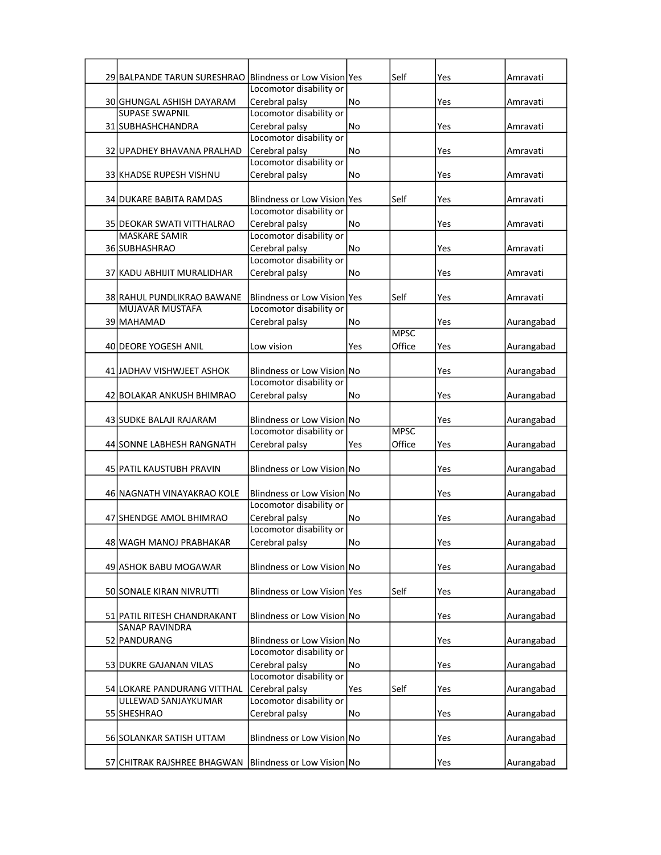| 29 BALPANDE TARUN SURESHRAO Blindness or Low Vision Yes |                                                       |     | Self        | Yes | Amravati   |
|---------------------------------------------------------|-------------------------------------------------------|-----|-------------|-----|------------|
|                                                         | Locomotor disability or                               |     |             |     |            |
| 30 GHUNGAL ASHISH DAYARAM<br><b>SUPASE SWAPNIL</b>      | Cerebral palsy<br>Locomotor disability or             | No  |             | Yes | Amravati   |
| 31 SUBHASHCHANDRA                                       | Cerebral palsy                                        | No  |             | Yes | Amravati   |
|                                                         | Locomotor disability or                               |     |             |     |            |
| 32 UPADHEY BHAVANA PRALHAD                              | Cerebral palsy                                        | No  |             | Yes | Amravati   |
|                                                         | Locomotor disability or                               |     |             |     |            |
| 33 KHADSE RUPESH VISHNU                                 | Cerebral palsy                                        | No  |             | Yes | Amravati   |
| 34 DUKARE BABITA RAMDAS                                 | <b>Blindness or Low Vision lyes</b>                   |     | Self        | Yes | Amravati   |
|                                                         | Locomotor disability or                               |     |             |     |            |
| 35 DEOKAR SWATI VITTHALRAO                              | Cerebral palsy                                        | No  |             | Yes | Amravati   |
| <b>MASKARE SAMIR</b>                                    | Locomotor disability or                               |     |             |     |            |
| 36 SUBHASHRAO                                           | Cerebral palsy                                        | No  |             | Yes | Amravati   |
| 37 KADU ABHIJIT MURALIDHAR                              | Locomotor disability or<br>Cerebral palsy             | No  |             | Yes | Amravati   |
|                                                         |                                                       |     |             |     |            |
| 38 RAHUL PUNDLIKRAO BAWANE                              | Blindness or Low Vision Yes                           |     | Self        | Yes | Amravati   |
| <b>MUJAVAR MUSTAFA</b>                                  | Locomotor disability or                               |     |             |     |            |
| 39 MAHAMAD                                              | Cerebral palsy                                        | No  |             | Yes | Aurangabad |
|                                                         | Low vision                                            |     | <b>MPSC</b> |     |            |
| 40 DEORE YOGESH ANIL                                    |                                                       | Yes | Office      | Yes | Aurangabad |
| 41 JADHAV VISHWJEET ASHOK                               | Blindness or Low Vision No                            |     |             | Yes | Aurangabad |
|                                                         | Locomotor disability or                               |     |             |     |            |
| 42 BOLAKAR ANKUSH BHIMRAO                               | Cerebral palsy                                        | No  |             | Yes | Aurangabad |
|                                                         |                                                       |     |             |     |            |
| 43 SUDKE BALAJI RAJARAM                                 | Blindness or Low Vision No<br>Locomotor disability or |     | <b>MPSC</b> | Yes | Aurangabad |
| 44 SONNE LABHESH RANGNATH                               | Cerebral palsy                                        | Yes | Office      | Yes | Aurangabad |
|                                                         |                                                       |     |             |     |            |
| 45 PATIL KAUSTUBH PRAVIN                                | Blindness or Low Vision No                            |     |             | Yes | Aurangabad |
|                                                         |                                                       |     |             |     |            |
| 46 NAGNATH VINAYAKRAO KOLE                              | Blindness or Low Vision No<br>Locomotor disability or |     |             | Yes | Aurangabad |
| 47 SHENDGE AMOL BHIMRAO                                 | Cerebral palsy                                        | No  |             | Yes | Aurangabad |
|                                                         | Locomotor disability or                               |     |             |     |            |
| 48 WAGH MANOJ PRABHAKAR                                 | Cerebral palsy                                        | No  |             | Yes | Aurangabad |
|                                                         |                                                       |     |             |     |            |
| 49 ASHOK BABU MOGAWAR                                   | Blindness or Low Vision No                            |     |             | Yes | Aurangabad |
| 50 SONALE KIRAN NIVRUTTI                                | Blindness or Low Vision Yes                           |     | Self        | Yes | Aurangabad |
|                                                         |                                                       |     |             |     |            |
| 51 PATIL RITESH CHANDRAKANT                             | Blindness or Low Vision No                            |     |             | Yes | Aurangabad |
| <b>SANAP RAVINDRA</b>                                   |                                                       |     |             |     |            |
| 52 PANDURANG                                            | Blindness or Low Vision No<br>Locomotor disability or |     |             | Yes | Aurangabad |
| 53 DUKRE GAJANAN VILAS                                  | Cerebral palsy                                        | No  |             | Yes | Aurangabad |
|                                                         | Locomotor disability or                               |     |             |     |            |
| 54 LOKARE PANDURANG VITTHAL                             | Cerebral palsy                                        | Yes | Self        | Yes | Aurangabad |
| ULLEWAD SANJAYKUMAR                                     | Locomotor disability or                               |     |             |     |            |
| 55 SHESHRAO                                             | Cerebral palsy                                        | No  |             | Yes | Aurangabad |
| 56 SOLANKAR SATISH UTTAM                                | Blindness or Low Vision No                            |     |             | Yes | Aurangabad |
|                                                         |                                                       |     |             |     |            |
| 57 CHITRAK RAJSHREE BHAGWAN                             | Blindness or Low Vision No                            |     |             | Yes | Aurangabad |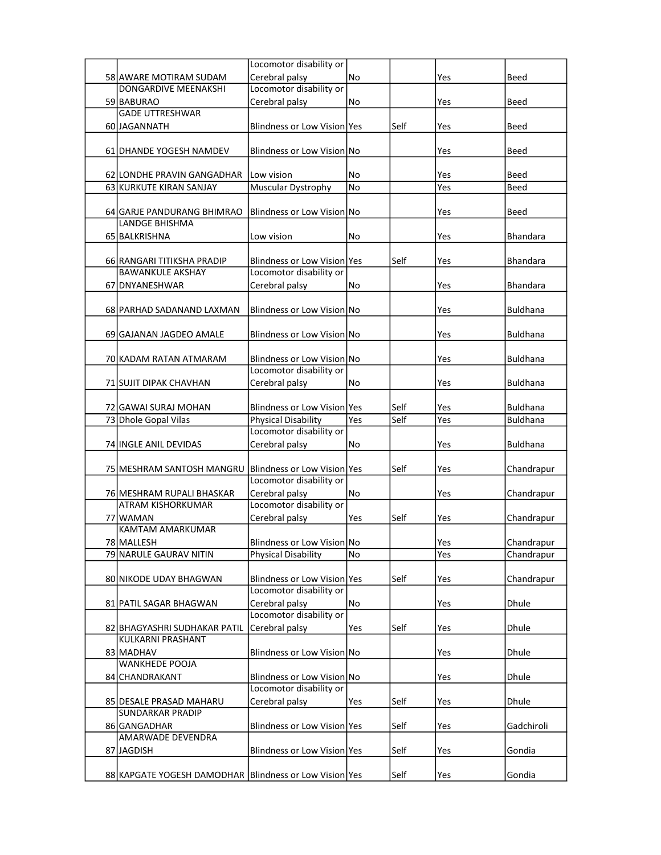|                                                          | Locomotor disability or           |           |      |     |                 |
|----------------------------------------------------------|-----------------------------------|-----------|------|-----|-----------------|
| 58 AWARE MOTIRAM SUDAM                                   | Cerebral palsy                    | No        |      | Yes | Beed            |
| DONGARDIVE MEENAKSHI                                     | Locomotor disability or           |           |      |     |                 |
| 59 BABURAO                                               | Cerebral palsy                    | No        |      | Yes | Beed            |
| <b>GADE UTTRESHWAR</b>                                   |                                   |           |      |     |                 |
|                                                          |                                   |           |      |     |                 |
| 60 JAGANNATH                                             | Blindness or Low Vision Yes       |           | Self | Yes | Beed            |
|                                                          |                                   |           |      |     |                 |
| 61 DHANDE YOGESH NAMDEV                                  | <b>Blindness or Low Vision No</b> |           |      | Yes | Beed            |
|                                                          |                                   |           |      |     |                 |
| 62 LONDHE PRAVIN GANGADHAR                               | Low vision                        | No        |      | Yes | Beed            |
| 63 KURKUTE KIRAN SANJAY                                  | Muscular Dystrophy                | <b>No</b> |      | Yes | <b>Beed</b>     |
|                                                          |                                   |           |      |     |                 |
| 64 GARJE PANDURANG BHIMRAO                               | Blindness or Low Vision No        |           |      | Yes | Beed            |
| LANDGE BHISHMA                                           |                                   |           |      |     |                 |
| 65 BALKRISHNA                                            | Low vision                        | No        |      | Yes | <b>Bhandara</b> |
|                                                          |                                   |           |      |     |                 |
|                                                          |                                   |           |      |     |                 |
| 66 RANGARI TITIKSHA PRADIP                               | Blindness or Low Vision Yes       |           | Self | Yes | <b>Bhandara</b> |
| <b>BAWANKULE AKSHAY</b>                                  | Locomotor disability or           |           |      |     |                 |
| 67 DNYANESHWAR                                           | Cerebral palsy                    | No        |      | Yes | Bhandara        |
|                                                          |                                   |           |      |     |                 |
| 68 PARHAD SADANAND LAXMAN                                | Blindness or Low Vision No        |           |      | Yes | <b>Buldhana</b> |
|                                                          |                                   |           |      |     |                 |
| 69 GAJANAN JAGDEO AMALE                                  | Blindness or Low Vision No        |           |      | Yes | <b>Buldhana</b> |
|                                                          |                                   |           |      |     |                 |
| 70 KADAM RATAN ATMARAM                                   | Blindness or Low Vision No        |           |      | Yes | <b>Buldhana</b> |
|                                                          | Locomotor disability or           |           |      |     |                 |
| 71 SUJIT DIPAK CHAVHAN                                   | Cerebral palsy                    | No        |      | Yes | <b>Buldhana</b> |
|                                                          |                                   |           |      |     |                 |
|                                                          |                                   |           |      |     |                 |
| 72 GAWAI SURAJ MOHAN                                     | Blindness or Low Vision Yes       |           | Self | Yes | <b>Buldhana</b> |
| 73 Dhole Gopal Vilas                                     | <b>Physical Disability</b>        | Yes       | Self | Yes | <b>Buldhana</b> |
|                                                          | Locomotor disability or           |           |      |     |                 |
| 74 INGLE ANIL DEVIDAS                                    | Cerebral palsy                    | No        |      | Yes | <b>Buldhana</b> |
|                                                          |                                   |           |      |     |                 |
| 75 MESHRAM SANTOSH MANGRU                                | Blindness or Low Vision Yes       |           | Self | Yes | Chandrapur      |
|                                                          | Locomotor disability or           |           |      |     |                 |
| 76 MESHRAM RUPALI BHASKAR                                | Cerebral palsy                    | No        |      | Yes | Chandrapur      |
| <b>ATRAM KISHORKUMAR</b>                                 | Locomotor disability or           |           |      |     |                 |
| 77 WAMAN                                                 | Cerebral palsy                    | Yes       | Self | Yes | Chandrapur      |
| KAMTAM AMARKUMAR                                         |                                   |           |      |     |                 |
| 78 MALLESH                                               | Blindness or Low Vision No        |           |      | Yes | Chandrapur      |
| 79 NARULE GAURAV NITIN                                   | Physical Disability               | No        |      | Yes | Chandrapur      |
|                                                          |                                   |           |      |     |                 |
|                                                          |                                   |           |      |     |                 |
| 80 NIKODE UDAY BHAGWAN                                   | Blindness or Low Vision Yes       |           | Self | Yes | Chandrapur      |
|                                                          | Locomotor disability or           |           |      |     |                 |
| 81 PATIL SAGAR BHAGWAN                                   | Cerebral palsy                    | No        |      | Yes | Dhule           |
|                                                          | Locomotor disability or           |           |      |     |                 |
| 82 BHAGYASHRI SUDHAKAR PATIL                             | Cerebral palsy                    | Yes       | Self | Yes | <b>Dhule</b>    |
| KULKARNI PRASHANT                                        |                                   |           |      |     |                 |
| 83 MADHAV                                                | Blindness or Low Vision No        |           |      | Yes | <b>Dhule</b>    |
| <b>WANKHEDE POOJA</b>                                    |                                   |           |      |     |                 |
| 84 CHANDRAKANT                                           | Blindness or Low Vision No        |           |      | Yes | <b>Dhule</b>    |
|                                                          | Locomotor disability or           |           |      |     |                 |
| 85 DESALE PRASAD MAHARU                                  | Cerebral palsy                    | Yes       | Self | Yes | Dhule           |
| <b>SUNDARKAR PRADIP</b>                                  |                                   |           |      |     |                 |
| 86 GANGADHAR                                             | Blindness or Low Vision Yes       |           | Self | Yes | Gadchiroli      |
| <b>AMARWADE DEVENDRA</b>                                 |                                   |           |      |     |                 |
|                                                          |                                   |           |      |     |                 |
| 87 JAGDISH                                               | Blindness or Low Vision Yes       |           | Self | Yes | Gondia          |
|                                                          |                                   |           |      |     |                 |
| 88 KAPGATE YOGESH DAMODHAR   Blindness or Low Vision Yes |                                   |           | Self | Yes | Gondia          |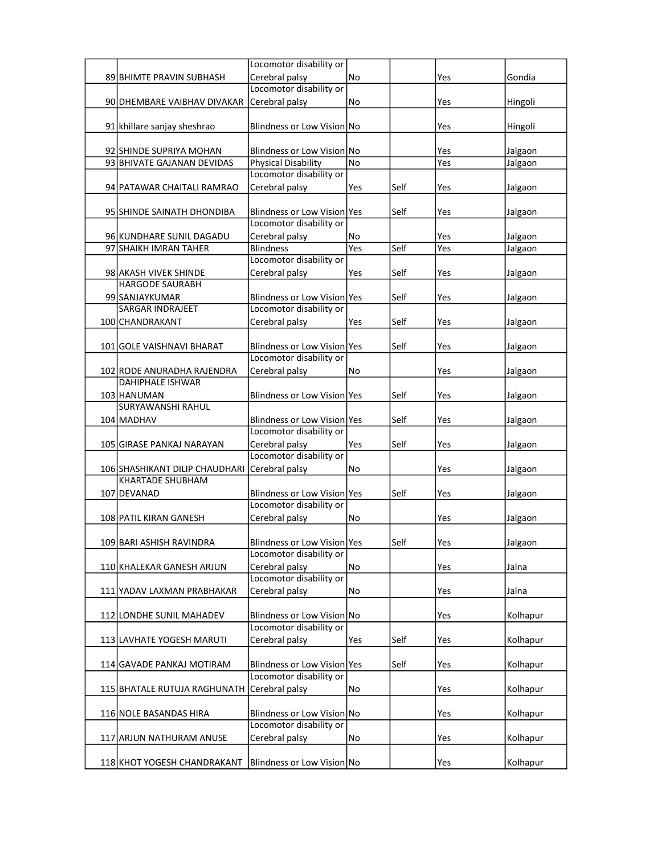|                                               | Locomotor disability or           |     |      |     |          |
|-----------------------------------------------|-----------------------------------|-----|------|-----|----------|
| 89 BHIMTE PRAVIN SUBHASH                      | Cerebral palsy                    | No  |      | Yes | Gondia   |
|                                               | Locomotor disability or           |     |      |     |          |
| 90 DHEMBARE VAIBHAV DIVAKAR                   | Cerebral palsy                    | No  |      | Yes | Hingoli  |
|                                               |                                   |     |      |     |          |
| 91 khillare sanjay sheshrao                   | Blindness or Low Vision No        |     |      | Yes | Hingoli  |
|                                               |                                   |     |      |     |          |
| 92 SHINDE SUPRIYA MOHAN                       | <b>Blindness or Low Vision No</b> |     |      | Yes | Jalgaon  |
| 93 BHIVATE GAJANAN DEVIDAS                    | Physical Disability               | No  |      | Yes | Jalgaon  |
|                                               | Locomotor disability or           |     |      |     |          |
| 94 PATAWAR CHAITALI RAMRAO                    | Cerebral palsy                    | Yes | Self | Yes | Jalgaon  |
|                                               |                                   |     |      |     |          |
| 95 SHINDE SAINATH DHONDIBA                    | Blindness or Low Vision Yes       |     | Self | Yes | Jalgaon  |
|                                               | Locomotor disability or           |     |      |     |          |
| 96 KUNDHARE SUNIL DAGADU                      | Cerebral palsy                    | No  |      | Yes | Jalgaon  |
| 97 SHAIKH IMRAN TAHER                         | <b>Blindness</b>                  | Yes | Self | Yes | Jalgaon  |
|                                               | Locomotor disability or           |     |      |     |          |
| 98 AKASH VIVEK SHINDE                         | Cerebral palsy                    | Yes | Self | Yes | Jalgaon  |
| <b>HARGODE SAURABH</b>                        |                                   |     |      |     |          |
| 99 SANJAYKUMAR                                | Blindness or Low Vision Yes       |     | Self | Yes | Jalgaon  |
| <b>SARGAR INDRAJEET</b>                       | Locomotor disability or           |     |      |     |          |
| 100 CHANDRAKANT                               | Cerebral palsy                    | Yes | Self | Yes | Jalgaon  |
|                                               |                                   |     |      |     |          |
| 101 GOLE VAISHNAVI BHARAT                     | Blindness or Low Vision Yes       |     | Self | Yes | Jalgaon  |
|                                               | Locomotor disability or           |     |      |     |          |
| 102 RODE ANURADHA RAJENDRA                    | Cerebral palsy                    | No  |      | Yes | Jalgaon  |
| <b>DAHIPHALE ISHWAR</b>                       |                                   |     |      |     |          |
| 103 HANUMAN                                   | Blindness or Low Vision Yes       |     | Self | Yes | Jalgaon  |
| SURYAWANSHI RAHUL                             |                                   |     |      |     |          |
| 104 MADHAV                                    | Blindness or Low Vision Yes       |     | Self | Yes | Jalgaon  |
|                                               | Locomotor disability or           |     |      |     |          |
| 105 GIRASE PANKAJ NARAYAN                     | Cerebral palsy                    | Yes | Self | Yes | Jalgaon  |
|                                               | Locomotor disability or           |     |      |     |          |
| 106 SHASHIKANT DILIP CHAUDHARI Cerebral palsy |                                   | No  |      | Yes | Jalgaon  |
| <b>KHARTADE SHUBHAM</b>                       |                                   |     |      |     |          |
| 107 DEVANAD                                   | Blindness or Low Vision Yes       |     | Self | Yes | Jalgaon  |
|                                               | Locomotor disability or           |     |      |     |          |
| 108 PATIL KIRAN GANESH                        | Cerebral palsy                    | No  |      | Yes | Jalgaon  |
|                                               |                                   |     |      |     |          |
| 109 BARI ASHISH RAVINDRA                      | Blindness or Low Vision Yes       |     | Self | Yes | Jalgaon  |
|                                               | Locomotor disability or           |     |      |     |          |
| 110 KHALEKAR GANESH ARJUN                     | Cerebral palsy                    | No  |      | Yes | Jalna    |
|                                               | Locomotor disability or           |     |      |     |          |
| 111 YADAV LAXMAN PRABHAKAR                    | Cerebral palsy                    | No  |      | Yes | Jalna    |
|                                               |                                   |     |      |     |          |
| 112 LONDHE SUNIL MAHADEV                      | Blindness or Low Vision No        |     |      | Yes | Kolhapur |
|                                               | Locomotor disability or           |     |      |     |          |
| 113 LAVHATE YOGESH MARUTI                     | Cerebral palsy                    | Yes | Self | Yes | Kolhapur |
|                                               |                                   |     |      |     |          |
| 114 GAVADE PANKAJ MOTIRAM                     | Blindness or Low Vision Yes       |     | Self | Yes | Kolhapur |
|                                               | Locomotor disability or           |     |      |     |          |
| 115 BHATALE RUTUJA RAGHUNATH                  | Cerebral palsy                    | No  |      | Yes | Kolhapur |
|                                               |                                   |     |      |     |          |
| 116 NOLE BASANDAS HIRA                        | Blindness or Low Vision No        |     |      | Yes | Kolhapur |
|                                               | Locomotor disability or           |     |      |     |          |
| 117 ARJUN NATHURAM ANUSE                      | Cerebral palsy                    | No  |      | Yes | Kolhapur |
|                                               |                                   |     |      |     |          |
| 118 KHOT YOGESH CHANDRAKANT                   | Blindness or Low Vision No        |     |      | Yes | Kolhapur |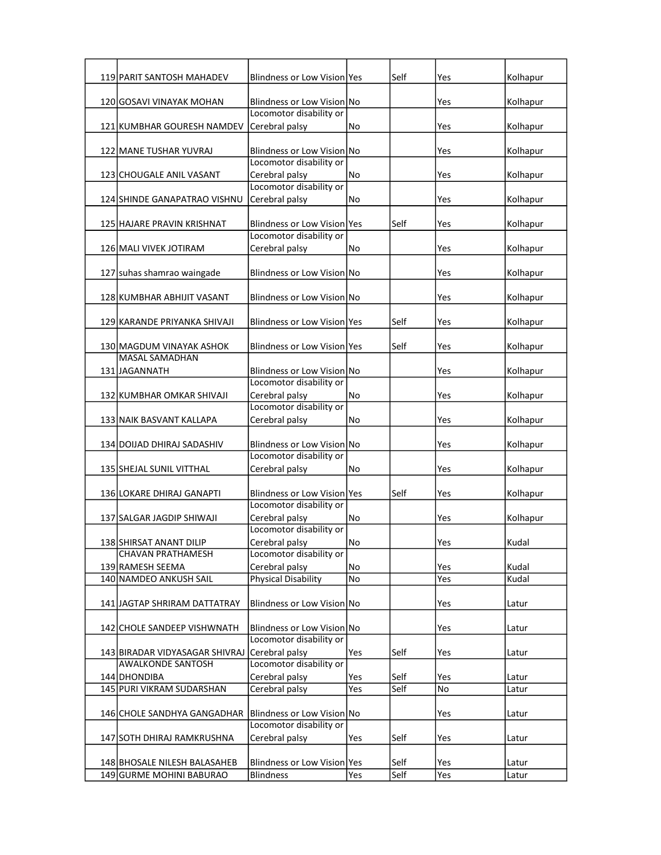| Blindness or Low Vision No<br>Kolhapur<br>120 GOSAVI VINAYAK MOHAN<br>Yes<br>Locomotor disability or<br>121 KUMBHAR GOURESH NAMDEV<br>Cerebral palsy<br>Kolhapur<br>No<br>Yes<br>122 MANE TUSHAR YUVRAJ<br><b>Blindness or Low Vision No</b><br>Kolhapur<br>Yes<br>Locomotor disability or<br>Cerebral palsy<br>Kolhapur<br>123 CHOUGALE ANIL VASANT<br>No<br>Yes<br>Locomotor disability or<br>124 SHINDE GANAPATRAO VISHNU<br>Cerebral palsy<br>Kolhapur<br>No<br>Yes<br>Blindness or Low Vision Yes<br>Self<br>Kolhapur<br>125 HAJARE PRAVIN KRISHNAT<br>Yes<br>Locomotor disability or<br>Cerebral palsy<br>Kolhapur<br>126 MALI VIVEK JOTIRAM<br>No<br>Yes<br>127 suhas shamrao waingade<br>Blindness or Low Vision No<br>Kolhapur<br>Yes<br>Kolhapur<br>128 KUMBHAR ABHIJIT VASANT<br>Blindness or Low Vision No<br>Yes<br>Blindness or Low Vision Yes<br>Self<br>Kolhapur<br>129 KARANDE PRIYANKA SHIVAJI<br>Yes<br>Self<br>130 MAGDUM VINAYAK ASHOK<br>Blindness or Low Vision Yes<br>Yes<br>Kolhapur<br><b>MASAL SAMADHAN</b><br>131 JAGANNATH<br>Blindness or Low Vision No<br>Kolhapur<br>Yes<br>Locomotor disability or<br>Cerebral palsy<br>Yes<br>Kolhapur<br>132 KUMBHAR OMKAR SHIVAJI<br>No<br>Locomotor disability or<br>133 NAIK BASVANT KALLAPA<br>Cerebral palsy<br>Yes<br>Kolhapur<br>No<br>134 DOIJAD DHIRAJ SADASHIV<br>Blindness or Low Vision No<br>Kolhapur<br>Yes<br>Locomotor disability or<br>Cerebral palsy<br>Kolhapur<br>135 SHEJAL SUNIL VITTHAL<br>Yes<br>No<br>Blindness or Low Vision Yes<br>Self<br>Kolhapur<br>136 LOKARE DHIRAJ GANAPTI<br>Yes<br>Locomotor disability or<br>Cerebral palsy<br>Kolhapur<br>137 SALGAR JAGDIP SHIWAJI<br>No<br>Yes<br>Locomotor disability or<br>Cerebral palsy<br>No<br>Yes<br>138 SHIRSAT ANANT DILIP<br>Kudal<br><b>CHAVAN PRATHAMESH</b><br>Locomotor disability or<br>139 RAMESH SEEMA<br>Cerebral palsy<br>Kudal<br>No<br>Yes<br><b>Physical Disability</b><br>140 NAMDEO ANKUSH SAIL<br>No<br>Kudal<br>Yes<br>Blindness or Low Vision No<br>141 JAGTAP SHRIRAM DATTATRAY<br>Yes<br>Latur<br>Blindness or Low Vision No<br>142 CHOLE SANDEEP VISHWNATH<br>Yes<br>Latur<br>Locomotor disability or<br>Cerebral palsy<br>Self<br>143 BIRADAR VIDYASAGAR SHIVRAJ<br>Yes<br>Yes<br>Latur<br>Locomotor disability or<br><b>AWALKONDE SANTOSH</b><br>144 DHONDIBA<br>Cerebral palsy<br>Self<br>Yes<br>Yes<br>Latur<br>Self<br>145 PURI VIKRAM SUDARSHAN<br>Cerebral palsy<br>No<br>Yes<br>Latur<br>Blindness or Low Vision No<br>146 CHOLE SANDHYA GANGADHAR<br>Yes<br>Latur<br>Locomotor disability or<br>Cerebral palsy<br>147 SOTH DHIRAJ RAMKRUSHNA<br>Self<br>Yes<br>Yes<br>Latur<br>Blindness or Low Vision Yes<br>Self<br>148 BHOSALE NILESH BALASAHEB<br>Yes<br>Latur<br>Self<br><b>Blindness</b><br>149 GURME MOHINI BABURAO<br>Yes<br>Yes<br>Latur | <b>119 PARIT SANTOSH MAHADEV</b> | Blindness or Low Vision   Yes | Self | Yes | Kolhapur |
|------------------------------------------------------------------------------------------------------------------------------------------------------------------------------------------------------------------------------------------------------------------------------------------------------------------------------------------------------------------------------------------------------------------------------------------------------------------------------------------------------------------------------------------------------------------------------------------------------------------------------------------------------------------------------------------------------------------------------------------------------------------------------------------------------------------------------------------------------------------------------------------------------------------------------------------------------------------------------------------------------------------------------------------------------------------------------------------------------------------------------------------------------------------------------------------------------------------------------------------------------------------------------------------------------------------------------------------------------------------------------------------------------------------------------------------------------------------------------------------------------------------------------------------------------------------------------------------------------------------------------------------------------------------------------------------------------------------------------------------------------------------------------------------------------------------------------------------------------------------------------------------------------------------------------------------------------------------------------------------------------------------------------------------------------------------------------------------------------------------------------------------------------------------------------------------------------------------------------------------------------------------------------------------------------------------------------------------------------------------------------------------------------------------------------------------------------------------------------------------------------------------------------------------------------------------------------------------------------------------------------------------------------------------------------------------------------------------------------------------------------------------------------------------------------------------------------------|----------------------------------|-------------------------------|------|-----|----------|
|                                                                                                                                                                                                                                                                                                                                                                                                                                                                                                                                                                                                                                                                                                                                                                                                                                                                                                                                                                                                                                                                                                                                                                                                                                                                                                                                                                                                                                                                                                                                                                                                                                                                                                                                                                                                                                                                                                                                                                                                                                                                                                                                                                                                                                                                                                                                                                                                                                                                                                                                                                                                                                                                                                                                                                                                                                    |                                  |                               |      |     |          |
|                                                                                                                                                                                                                                                                                                                                                                                                                                                                                                                                                                                                                                                                                                                                                                                                                                                                                                                                                                                                                                                                                                                                                                                                                                                                                                                                                                                                                                                                                                                                                                                                                                                                                                                                                                                                                                                                                                                                                                                                                                                                                                                                                                                                                                                                                                                                                                                                                                                                                                                                                                                                                                                                                                                                                                                                                                    |                                  |                               |      |     |          |
|                                                                                                                                                                                                                                                                                                                                                                                                                                                                                                                                                                                                                                                                                                                                                                                                                                                                                                                                                                                                                                                                                                                                                                                                                                                                                                                                                                                                                                                                                                                                                                                                                                                                                                                                                                                                                                                                                                                                                                                                                                                                                                                                                                                                                                                                                                                                                                                                                                                                                                                                                                                                                                                                                                                                                                                                                                    |                                  |                               |      |     |          |
|                                                                                                                                                                                                                                                                                                                                                                                                                                                                                                                                                                                                                                                                                                                                                                                                                                                                                                                                                                                                                                                                                                                                                                                                                                                                                                                                                                                                                                                                                                                                                                                                                                                                                                                                                                                                                                                                                                                                                                                                                                                                                                                                                                                                                                                                                                                                                                                                                                                                                                                                                                                                                                                                                                                                                                                                                                    |                                  |                               |      |     |          |
|                                                                                                                                                                                                                                                                                                                                                                                                                                                                                                                                                                                                                                                                                                                                                                                                                                                                                                                                                                                                                                                                                                                                                                                                                                                                                                                                                                                                                                                                                                                                                                                                                                                                                                                                                                                                                                                                                                                                                                                                                                                                                                                                                                                                                                                                                                                                                                                                                                                                                                                                                                                                                                                                                                                                                                                                                                    |                                  |                               |      |     |          |
|                                                                                                                                                                                                                                                                                                                                                                                                                                                                                                                                                                                                                                                                                                                                                                                                                                                                                                                                                                                                                                                                                                                                                                                                                                                                                                                                                                                                                                                                                                                                                                                                                                                                                                                                                                                                                                                                                                                                                                                                                                                                                                                                                                                                                                                                                                                                                                                                                                                                                                                                                                                                                                                                                                                                                                                                                                    |                                  |                               |      |     |          |
|                                                                                                                                                                                                                                                                                                                                                                                                                                                                                                                                                                                                                                                                                                                                                                                                                                                                                                                                                                                                                                                                                                                                                                                                                                                                                                                                                                                                                                                                                                                                                                                                                                                                                                                                                                                                                                                                                                                                                                                                                                                                                                                                                                                                                                                                                                                                                                                                                                                                                                                                                                                                                                                                                                                                                                                                                                    |                                  |                               |      |     |          |
|                                                                                                                                                                                                                                                                                                                                                                                                                                                                                                                                                                                                                                                                                                                                                                                                                                                                                                                                                                                                                                                                                                                                                                                                                                                                                                                                                                                                                                                                                                                                                                                                                                                                                                                                                                                                                                                                                                                                                                                                                                                                                                                                                                                                                                                                                                                                                                                                                                                                                                                                                                                                                                                                                                                                                                                                                                    |                                  |                               |      |     |          |
|                                                                                                                                                                                                                                                                                                                                                                                                                                                                                                                                                                                                                                                                                                                                                                                                                                                                                                                                                                                                                                                                                                                                                                                                                                                                                                                                                                                                                                                                                                                                                                                                                                                                                                                                                                                                                                                                                                                                                                                                                                                                                                                                                                                                                                                                                                                                                                                                                                                                                                                                                                                                                                                                                                                                                                                                                                    |                                  |                               |      |     |          |
|                                                                                                                                                                                                                                                                                                                                                                                                                                                                                                                                                                                                                                                                                                                                                                                                                                                                                                                                                                                                                                                                                                                                                                                                                                                                                                                                                                                                                                                                                                                                                                                                                                                                                                                                                                                                                                                                                                                                                                                                                                                                                                                                                                                                                                                                                                                                                                                                                                                                                                                                                                                                                                                                                                                                                                                                                                    |                                  |                               |      |     |          |
|                                                                                                                                                                                                                                                                                                                                                                                                                                                                                                                                                                                                                                                                                                                                                                                                                                                                                                                                                                                                                                                                                                                                                                                                                                                                                                                                                                                                                                                                                                                                                                                                                                                                                                                                                                                                                                                                                                                                                                                                                                                                                                                                                                                                                                                                                                                                                                                                                                                                                                                                                                                                                                                                                                                                                                                                                                    |                                  |                               |      |     |          |
|                                                                                                                                                                                                                                                                                                                                                                                                                                                                                                                                                                                                                                                                                                                                                                                                                                                                                                                                                                                                                                                                                                                                                                                                                                                                                                                                                                                                                                                                                                                                                                                                                                                                                                                                                                                                                                                                                                                                                                                                                                                                                                                                                                                                                                                                                                                                                                                                                                                                                                                                                                                                                                                                                                                                                                                                                                    |                                  |                               |      |     |          |
|                                                                                                                                                                                                                                                                                                                                                                                                                                                                                                                                                                                                                                                                                                                                                                                                                                                                                                                                                                                                                                                                                                                                                                                                                                                                                                                                                                                                                                                                                                                                                                                                                                                                                                                                                                                                                                                                                                                                                                                                                                                                                                                                                                                                                                                                                                                                                                                                                                                                                                                                                                                                                                                                                                                                                                                                                                    |                                  |                               |      |     |          |
|                                                                                                                                                                                                                                                                                                                                                                                                                                                                                                                                                                                                                                                                                                                                                                                                                                                                                                                                                                                                                                                                                                                                                                                                                                                                                                                                                                                                                                                                                                                                                                                                                                                                                                                                                                                                                                                                                                                                                                                                                                                                                                                                                                                                                                                                                                                                                                                                                                                                                                                                                                                                                                                                                                                                                                                                                                    |                                  |                               |      |     |          |
|                                                                                                                                                                                                                                                                                                                                                                                                                                                                                                                                                                                                                                                                                                                                                                                                                                                                                                                                                                                                                                                                                                                                                                                                                                                                                                                                                                                                                                                                                                                                                                                                                                                                                                                                                                                                                                                                                                                                                                                                                                                                                                                                                                                                                                                                                                                                                                                                                                                                                                                                                                                                                                                                                                                                                                                                                                    |                                  |                               |      |     |          |
|                                                                                                                                                                                                                                                                                                                                                                                                                                                                                                                                                                                                                                                                                                                                                                                                                                                                                                                                                                                                                                                                                                                                                                                                                                                                                                                                                                                                                                                                                                                                                                                                                                                                                                                                                                                                                                                                                                                                                                                                                                                                                                                                                                                                                                                                                                                                                                                                                                                                                                                                                                                                                                                                                                                                                                                                                                    |                                  |                               |      |     |          |
|                                                                                                                                                                                                                                                                                                                                                                                                                                                                                                                                                                                                                                                                                                                                                                                                                                                                                                                                                                                                                                                                                                                                                                                                                                                                                                                                                                                                                                                                                                                                                                                                                                                                                                                                                                                                                                                                                                                                                                                                                                                                                                                                                                                                                                                                                                                                                                                                                                                                                                                                                                                                                                                                                                                                                                                                                                    |                                  |                               |      |     |          |
|                                                                                                                                                                                                                                                                                                                                                                                                                                                                                                                                                                                                                                                                                                                                                                                                                                                                                                                                                                                                                                                                                                                                                                                                                                                                                                                                                                                                                                                                                                                                                                                                                                                                                                                                                                                                                                                                                                                                                                                                                                                                                                                                                                                                                                                                                                                                                                                                                                                                                                                                                                                                                                                                                                                                                                                                                                    |                                  |                               |      |     |          |
|                                                                                                                                                                                                                                                                                                                                                                                                                                                                                                                                                                                                                                                                                                                                                                                                                                                                                                                                                                                                                                                                                                                                                                                                                                                                                                                                                                                                                                                                                                                                                                                                                                                                                                                                                                                                                                                                                                                                                                                                                                                                                                                                                                                                                                                                                                                                                                                                                                                                                                                                                                                                                                                                                                                                                                                                                                    |                                  |                               |      |     |          |
|                                                                                                                                                                                                                                                                                                                                                                                                                                                                                                                                                                                                                                                                                                                                                                                                                                                                                                                                                                                                                                                                                                                                                                                                                                                                                                                                                                                                                                                                                                                                                                                                                                                                                                                                                                                                                                                                                                                                                                                                                                                                                                                                                                                                                                                                                                                                                                                                                                                                                                                                                                                                                                                                                                                                                                                                                                    |                                  |                               |      |     |          |
|                                                                                                                                                                                                                                                                                                                                                                                                                                                                                                                                                                                                                                                                                                                                                                                                                                                                                                                                                                                                                                                                                                                                                                                                                                                                                                                                                                                                                                                                                                                                                                                                                                                                                                                                                                                                                                                                                                                                                                                                                                                                                                                                                                                                                                                                                                                                                                                                                                                                                                                                                                                                                                                                                                                                                                                                                                    |                                  |                               |      |     |          |
|                                                                                                                                                                                                                                                                                                                                                                                                                                                                                                                                                                                                                                                                                                                                                                                                                                                                                                                                                                                                                                                                                                                                                                                                                                                                                                                                                                                                                                                                                                                                                                                                                                                                                                                                                                                                                                                                                                                                                                                                                                                                                                                                                                                                                                                                                                                                                                                                                                                                                                                                                                                                                                                                                                                                                                                                                                    |                                  |                               |      |     |          |
|                                                                                                                                                                                                                                                                                                                                                                                                                                                                                                                                                                                                                                                                                                                                                                                                                                                                                                                                                                                                                                                                                                                                                                                                                                                                                                                                                                                                                                                                                                                                                                                                                                                                                                                                                                                                                                                                                                                                                                                                                                                                                                                                                                                                                                                                                                                                                                                                                                                                                                                                                                                                                                                                                                                                                                                                                                    |                                  |                               |      |     |          |
|                                                                                                                                                                                                                                                                                                                                                                                                                                                                                                                                                                                                                                                                                                                                                                                                                                                                                                                                                                                                                                                                                                                                                                                                                                                                                                                                                                                                                                                                                                                                                                                                                                                                                                                                                                                                                                                                                                                                                                                                                                                                                                                                                                                                                                                                                                                                                                                                                                                                                                                                                                                                                                                                                                                                                                                                                                    |                                  |                               |      |     |          |
|                                                                                                                                                                                                                                                                                                                                                                                                                                                                                                                                                                                                                                                                                                                                                                                                                                                                                                                                                                                                                                                                                                                                                                                                                                                                                                                                                                                                                                                                                                                                                                                                                                                                                                                                                                                                                                                                                                                                                                                                                                                                                                                                                                                                                                                                                                                                                                                                                                                                                                                                                                                                                                                                                                                                                                                                                                    |                                  |                               |      |     |          |
|                                                                                                                                                                                                                                                                                                                                                                                                                                                                                                                                                                                                                                                                                                                                                                                                                                                                                                                                                                                                                                                                                                                                                                                                                                                                                                                                                                                                                                                                                                                                                                                                                                                                                                                                                                                                                                                                                                                                                                                                                                                                                                                                                                                                                                                                                                                                                                                                                                                                                                                                                                                                                                                                                                                                                                                                                                    |                                  |                               |      |     |          |
|                                                                                                                                                                                                                                                                                                                                                                                                                                                                                                                                                                                                                                                                                                                                                                                                                                                                                                                                                                                                                                                                                                                                                                                                                                                                                                                                                                                                                                                                                                                                                                                                                                                                                                                                                                                                                                                                                                                                                                                                                                                                                                                                                                                                                                                                                                                                                                                                                                                                                                                                                                                                                                                                                                                                                                                                                                    |                                  |                               |      |     |          |
|                                                                                                                                                                                                                                                                                                                                                                                                                                                                                                                                                                                                                                                                                                                                                                                                                                                                                                                                                                                                                                                                                                                                                                                                                                                                                                                                                                                                                                                                                                                                                                                                                                                                                                                                                                                                                                                                                                                                                                                                                                                                                                                                                                                                                                                                                                                                                                                                                                                                                                                                                                                                                                                                                                                                                                                                                                    |                                  |                               |      |     |          |
|                                                                                                                                                                                                                                                                                                                                                                                                                                                                                                                                                                                                                                                                                                                                                                                                                                                                                                                                                                                                                                                                                                                                                                                                                                                                                                                                                                                                                                                                                                                                                                                                                                                                                                                                                                                                                                                                                                                                                                                                                                                                                                                                                                                                                                                                                                                                                                                                                                                                                                                                                                                                                                                                                                                                                                                                                                    |                                  |                               |      |     |          |
|                                                                                                                                                                                                                                                                                                                                                                                                                                                                                                                                                                                                                                                                                                                                                                                                                                                                                                                                                                                                                                                                                                                                                                                                                                                                                                                                                                                                                                                                                                                                                                                                                                                                                                                                                                                                                                                                                                                                                                                                                                                                                                                                                                                                                                                                                                                                                                                                                                                                                                                                                                                                                                                                                                                                                                                                                                    |                                  |                               |      |     |          |
|                                                                                                                                                                                                                                                                                                                                                                                                                                                                                                                                                                                                                                                                                                                                                                                                                                                                                                                                                                                                                                                                                                                                                                                                                                                                                                                                                                                                                                                                                                                                                                                                                                                                                                                                                                                                                                                                                                                                                                                                                                                                                                                                                                                                                                                                                                                                                                                                                                                                                                                                                                                                                                                                                                                                                                                                                                    |                                  |                               |      |     |          |
|                                                                                                                                                                                                                                                                                                                                                                                                                                                                                                                                                                                                                                                                                                                                                                                                                                                                                                                                                                                                                                                                                                                                                                                                                                                                                                                                                                                                                                                                                                                                                                                                                                                                                                                                                                                                                                                                                                                                                                                                                                                                                                                                                                                                                                                                                                                                                                                                                                                                                                                                                                                                                                                                                                                                                                                                                                    |                                  |                               |      |     |          |
|                                                                                                                                                                                                                                                                                                                                                                                                                                                                                                                                                                                                                                                                                                                                                                                                                                                                                                                                                                                                                                                                                                                                                                                                                                                                                                                                                                                                                                                                                                                                                                                                                                                                                                                                                                                                                                                                                                                                                                                                                                                                                                                                                                                                                                                                                                                                                                                                                                                                                                                                                                                                                                                                                                                                                                                                                                    |                                  |                               |      |     |          |
|                                                                                                                                                                                                                                                                                                                                                                                                                                                                                                                                                                                                                                                                                                                                                                                                                                                                                                                                                                                                                                                                                                                                                                                                                                                                                                                                                                                                                                                                                                                                                                                                                                                                                                                                                                                                                                                                                                                                                                                                                                                                                                                                                                                                                                                                                                                                                                                                                                                                                                                                                                                                                                                                                                                                                                                                                                    |                                  |                               |      |     |          |
|                                                                                                                                                                                                                                                                                                                                                                                                                                                                                                                                                                                                                                                                                                                                                                                                                                                                                                                                                                                                                                                                                                                                                                                                                                                                                                                                                                                                                                                                                                                                                                                                                                                                                                                                                                                                                                                                                                                                                                                                                                                                                                                                                                                                                                                                                                                                                                                                                                                                                                                                                                                                                                                                                                                                                                                                                                    |                                  |                               |      |     |          |
|                                                                                                                                                                                                                                                                                                                                                                                                                                                                                                                                                                                                                                                                                                                                                                                                                                                                                                                                                                                                                                                                                                                                                                                                                                                                                                                                                                                                                                                                                                                                                                                                                                                                                                                                                                                                                                                                                                                                                                                                                                                                                                                                                                                                                                                                                                                                                                                                                                                                                                                                                                                                                                                                                                                                                                                                                                    |                                  |                               |      |     |          |
|                                                                                                                                                                                                                                                                                                                                                                                                                                                                                                                                                                                                                                                                                                                                                                                                                                                                                                                                                                                                                                                                                                                                                                                                                                                                                                                                                                                                                                                                                                                                                                                                                                                                                                                                                                                                                                                                                                                                                                                                                                                                                                                                                                                                                                                                                                                                                                                                                                                                                                                                                                                                                                                                                                                                                                                                                                    |                                  |                               |      |     |          |
|                                                                                                                                                                                                                                                                                                                                                                                                                                                                                                                                                                                                                                                                                                                                                                                                                                                                                                                                                                                                                                                                                                                                                                                                                                                                                                                                                                                                                                                                                                                                                                                                                                                                                                                                                                                                                                                                                                                                                                                                                                                                                                                                                                                                                                                                                                                                                                                                                                                                                                                                                                                                                                                                                                                                                                                                                                    |                                  |                               |      |     |          |
|                                                                                                                                                                                                                                                                                                                                                                                                                                                                                                                                                                                                                                                                                                                                                                                                                                                                                                                                                                                                                                                                                                                                                                                                                                                                                                                                                                                                                                                                                                                                                                                                                                                                                                                                                                                                                                                                                                                                                                                                                                                                                                                                                                                                                                                                                                                                                                                                                                                                                                                                                                                                                                                                                                                                                                                                                                    |                                  |                               |      |     |          |
|                                                                                                                                                                                                                                                                                                                                                                                                                                                                                                                                                                                                                                                                                                                                                                                                                                                                                                                                                                                                                                                                                                                                                                                                                                                                                                                                                                                                                                                                                                                                                                                                                                                                                                                                                                                                                                                                                                                                                                                                                                                                                                                                                                                                                                                                                                                                                                                                                                                                                                                                                                                                                                                                                                                                                                                                                                    |                                  |                               |      |     |          |
|                                                                                                                                                                                                                                                                                                                                                                                                                                                                                                                                                                                                                                                                                                                                                                                                                                                                                                                                                                                                                                                                                                                                                                                                                                                                                                                                                                                                                                                                                                                                                                                                                                                                                                                                                                                                                                                                                                                                                                                                                                                                                                                                                                                                                                                                                                                                                                                                                                                                                                                                                                                                                                                                                                                                                                                                                                    |                                  |                               |      |     |          |
|                                                                                                                                                                                                                                                                                                                                                                                                                                                                                                                                                                                                                                                                                                                                                                                                                                                                                                                                                                                                                                                                                                                                                                                                                                                                                                                                                                                                                                                                                                                                                                                                                                                                                                                                                                                                                                                                                                                                                                                                                                                                                                                                                                                                                                                                                                                                                                                                                                                                                                                                                                                                                                                                                                                                                                                                                                    |                                  |                               |      |     |          |
|                                                                                                                                                                                                                                                                                                                                                                                                                                                                                                                                                                                                                                                                                                                                                                                                                                                                                                                                                                                                                                                                                                                                                                                                                                                                                                                                                                                                                                                                                                                                                                                                                                                                                                                                                                                                                                                                                                                                                                                                                                                                                                                                                                                                                                                                                                                                                                                                                                                                                                                                                                                                                                                                                                                                                                                                                                    |                                  |                               |      |     |          |
|                                                                                                                                                                                                                                                                                                                                                                                                                                                                                                                                                                                                                                                                                                                                                                                                                                                                                                                                                                                                                                                                                                                                                                                                                                                                                                                                                                                                                                                                                                                                                                                                                                                                                                                                                                                                                                                                                                                                                                                                                                                                                                                                                                                                                                                                                                                                                                                                                                                                                                                                                                                                                                                                                                                                                                                                                                    |                                  |                               |      |     |          |
|                                                                                                                                                                                                                                                                                                                                                                                                                                                                                                                                                                                                                                                                                                                                                                                                                                                                                                                                                                                                                                                                                                                                                                                                                                                                                                                                                                                                                                                                                                                                                                                                                                                                                                                                                                                                                                                                                                                                                                                                                                                                                                                                                                                                                                                                                                                                                                                                                                                                                                                                                                                                                                                                                                                                                                                                                                    |                                  |                               |      |     |          |
|                                                                                                                                                                                                                                                                                                                                                                                                                                                                                                                                                                                                                                                                                                                                                                                                                                                                                                                                                                                                                                                                                                                                                                                                                                                                                                                                                                                                                                                                                                                                                                                                                                                                                                                                                                                                                                                                                                                                                                                                                                                                                                                                                                                                                                                                                                                                                                                                                                                                                                                                                                                                                                                                                                                                                                                                                                    |                                  |                               |      |     |          |
|                                                                                                                                                                                                                                                                                                                                                                                                                                                                                                                                                                                                                                                                                                                                                                                                                                                                                                                                                                                                                                                                                                                                                                                                                                                                                                                                                                                                                                                                                                                                                                                                                                                                                                                                                                                                                                                                                                                                                                                                                                                                                                                                                                                                                                                                                                                                                                                                                                                                                                                                                                                                                                                                                                                                                                                                                                    |                                  |                               |      |     |          |
|                                                                                                                                                                                                                                                                                                                                                                                                                                                                                                                                                                                                                                                                                                                                                                                                                                                                                                                                                                                                                                                                                                                                                                                                                                                                                                                                                                                                                                                                                                                                                                                                                                                                                                                                                                                                                                                                                                                                                                                                                                                                                                                                                                                                                                                                                                                                                                                                                                                                                                                                                                                                                                                                                                                                                                                                                                    |                                  |                               |      |     |          |
|                                                                                                                                                                                                                                                                                                                                                                                                                                                                                                                                                                                                                                                                                                                                                                                                                                                                                                                                                                                                                                                                                                                                                                                                                                                                                                                                                                                                                                                                                                                                                                                                                                                                                                                                                                                                                                                                                                                                                                                                                                                                                                                                                                                                                                                                                                                                                                                                                                                                                                                                                                                                                                                                                                                                                                                                                                    |                                  |                               |      |     |          |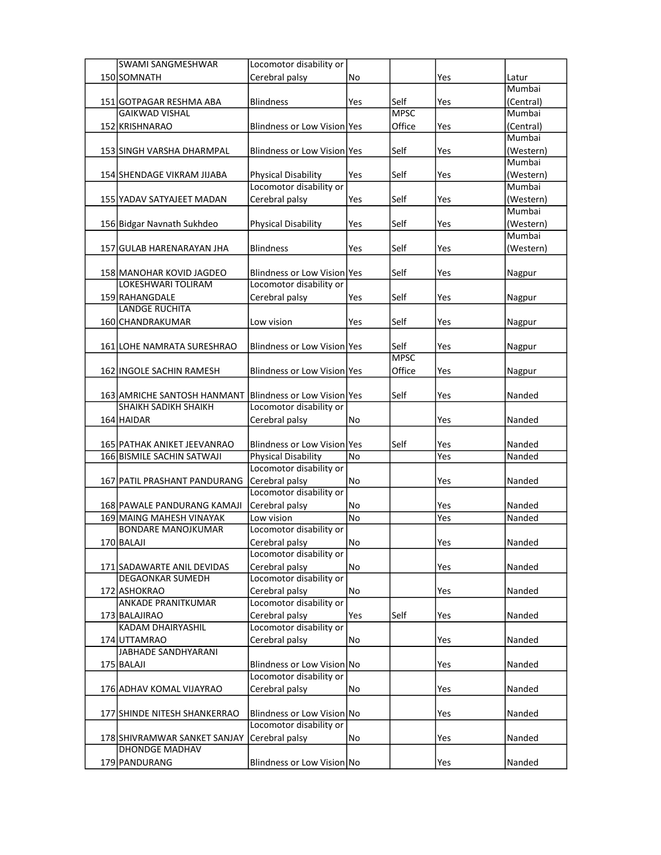| <b>SWAMI SANGMESHWAR</b>     | Locomotor disability or             |     |             |     |           |
|------------------------------|-------------------------------------|-----|-------------|-----|-----------|
| 150 SOMNATH                  | Cerebral palsy                      | No  |             | Yes | Latur     |
|                              |                                     |     |             |     | Mumbai    |
| 151 GOTPAGAR RESHMA ABA      | <b>Blindness</b>                    | Yes | Self        | Yes | (Central) |
| <b>GAIKWAD VISHAL</b>        |                                     |     | <b>MPSC</b> |     | Mumbai    |
| 152 KRISHNARAO               | Blindness or Low Vision Yes         |     | Office      | Yes | (Central) |
|                              |                                     |     |             |     | Mumbai    |
| 153 SINGH VARSHA DHARMPAL    | Blindness or Low Vision Yes         |     | Self        | Yes | (Western) |
|                              |                                     |     |             |     | Mumbai    |
| 154 SHENDAGE VIKRAM JIJABA   | Physical Disability                 | Yes | Self        | Yes | (Western) |
|                              | Locomotor disability or             |     |             |     | Mumbai    |
| 155 YADAV SATYAJEET MADAN    | Cerebral palsy                      | Yes | Self        | Yes | (Western) |
|                              |                                     |     |             |     | Mumbai    |
| 156 Bidgar Navnath Sukhdeo   | Physical Disability                 | Yes | Self        | Yes | (Western) |
|                              |                                     |     |             |     | Mumbai    |
| 157 GULAB HARENARAYAN JHA    | <b>Blindness</b>                    | Yes | Self        | Yes | (Western) |
|                              |                                     |     |             |     |           |
| 158 MANOHAR KOVID JAGDEO     | Blindness or Low Vision Yes         |     | Self        | Yes | Nagpur    |
| LOKESHWARI TOLIRAM           | Locomotor disability or             |     |             |     |           |
| 159 RAHANGDALE               | Cerebral palsy                      | Yes | Self        | Yes | Nagpur    |
| <b>LANDGE RUCHITA</b>        |                                     |     |             |     |           |
| 160 CHANDRAKUMAR             |                                     |     | Self        |     |           |
|                              | Low vision                          | Yes |             | Yes | Nagpur    |
|                              | <b>Blindness or Low Vision lYes</b> |     | Self        |     |           |
| 161 LOHE NAMRATA SURESHRAO   |                                     |     | <b>MPSC</b> | Yes | Nagpur    |
|                              |                                     |     |             |     |           |
| 162 INGOLE SACHIN RAMESH     | Blindness or Low Vision Yes         |     | Office      | Yes | Nagpur    |
|                              |                                     |     |             |     |           |
| 163 AMRICHE SANTOSH HANMANT  | Blindness or Low Vision Yes         |     | Self        | Yes | Nanded    |
| <b>SHAIKH SADIKH SHAIKH</b>  | Locomotor disability or             |     |             |     |           |
| 164 HAIDAR                   | Cerebral palsy                      | No  |             | Yes | Nanded    |
|                              |                                     |     |             |     |           |
| 165 PATHAK ANIKET JEEVANRAO  | Blindness or Low Vision Yes         |     | Self        | Yes | Nanded    |
| 166 BISMILE SACHIN SATWAJI   | <b>Physical Disability</b>          | No  |             | Yes | Nanded    |
|                              | Locomotor disability or             |     |             |     |           |
| 167 PATIL PRASHANT PANDURANG | Cerebral palsy                      | No  |             | Yes | Nanded    |
|                              | Locomotor disability or             |     |             |     |           |
| 168 PAWALE PANDURANG KAMAJI  | Cerebral palsy                      | No  |             | Yes | Nanded    |
| 169 MAING MAHESH VINAYAK     | Low vision                          | No  |             | Yes | Nanded    |
| <b>BONDARE MANOJKUMAR</b>    | Locomotor disability or             |     |             |     |           |
| 170 BALAJI                   | Cerebral palsy                      | No  |             | Yes | Nanded    |
|                              | Locomotor disability or             |     |             |     |           |
| 171 SADAWARTE ANIL DEVIDAS   | Cerebral palsy                      | No  |             | Yes | Nanded    |
| <b>DEGAONKAR SUMEDH</b>      | Locomotor disability or             |     |             |     |           |
| 172 ASHOKRAO                 | Cerebral palsy                      | No  |             | Yes | Nanded    |
| <b>ANKADE PRANITKUMAR</b>    | Locomotor disability or             |     |             |     |           |
| 173 BALAJIRAO                | Cerebral palsy                      | Yes | Self        | Yes | Nanded    |
| KADAM DHAIRYASHIL            | Locomotor disability or             |     |             |     |           |
| 174 UTTAMRAO                 | Cerebral palsy                      | No  |             | Yes | Nanded    |
| <b>JABHADE SANDHYARANI</b>   |                                     |     |             |     |           |
| 175 BALAJI                   | Blindness or Low Vision No          |     |             | Yes | Nanded    |
|                              | Locomotor disability or             |     |             |     |           |
| 176 ADHAV KOMAL VIJAYRAO     | Cerebral palsy                      | No  |             | Yes | Nanded    |
|                              |                                     |     |             |     |           |
| 177 SHINDE NITESH SHANKERRAO | Blindness or Low Vision No          |     |             | Yes | Nanded    |
|                              | Locomotor disability or             |     |             |     |           |
| 178 SHIVRAMWAR SANKET SANJAY | Cerebral palsy                      | No  |             | Yes | Nanded    |
| <b>DHONDGE MADHAV</b>        |                                     |     |             |     |           |
| 179 PANDURANG                | Blindness or Low Vision No          |     |             | Yes | Nanded    |
|                              |                                     |     |             |     |           |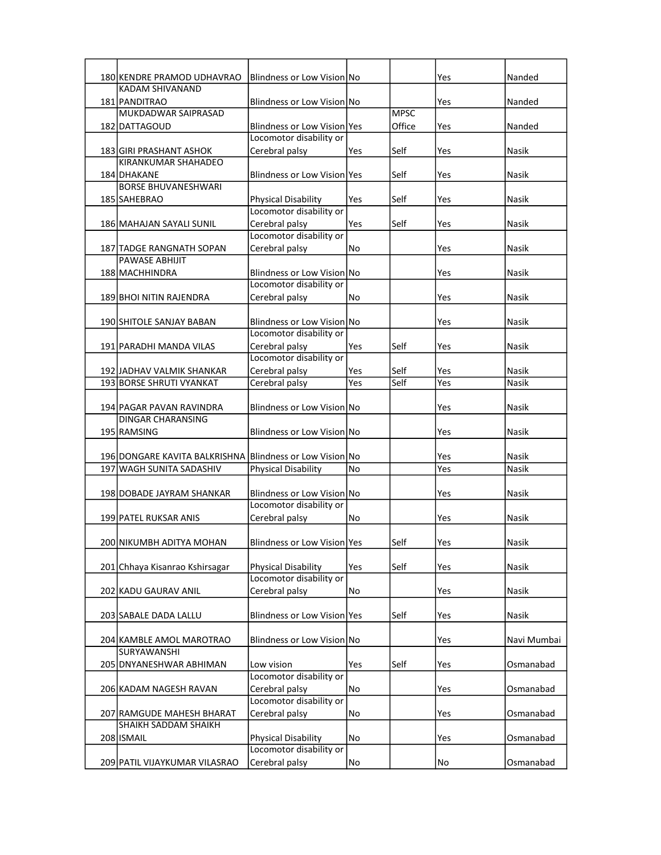| 180 KENDRE PRAMOD UDHAVRAO                                                           | Blindness or Low Vision No                             |     |             | Yes        | Nanded                |
|--------------------------------------------------------------------------------------|--------------------------------------------------------|-----|-------------|------------|-----------------------|
| <b>KADAM SHIVANAND</b>                                                               |                                                        |     |             |            |                       |
| 181 PANDITRAO                                                                        | Blindness or Low Vision No                             |     |             | Yes        | Nanded                |
| MUKDADWAR SAIPRASAD                                                                  |                                                        |     | <b>MPSC</b> |            |                       |
| 182 DATTAGOUD                                                                        | Blindness or Low Vision Yes<br>Locomotor disability or |     | Office      | Yes        | Nanded                |
| 183 GIRI PRASHANT ASHOK                                                              | Cerebral palsy                                         | Yes | Self        | Yes        | Nasik                 |
| KIRANKUMAR SHAHADEO                                                                  |                                                        |     |             |            |                       |
| 184 DHAKANE                                                                          | <b>Blindness or Low Vision lyes</b>                    |     | Self        | Yes        | Nasik                 |
| <b>BORSE BHUVANESHWARI</b>                                                           |                                                        |     |             |            |                       |
| 185 SAHEBRAO                                                                         | <b>Physical Disability</b>                             | Yes | Self        | Yes        | Nasik                 |
|                                                                                      | Locomotor disability or                                |     |             |            |                       |
| 186 MAHAJAN SAYALI SUNIL                                                             | Cerebral palsy                                         | Yes | Self        | Yes        | Nasik                 |
|                                                                                      | Locomotor disability or                                |     |             |            |                       |
| 187 TADGE RANGNATH SOPAN                                                             | Cerebral palsy                                         | No  |             | Yes        | Nasik                 |
| <b>PAWASE ABHIJIT</b>                                                                |                                                        |     |             |            |                       |
| 188 MACHHINDRA                                                                       | Blindness or Low Vision No<br>Locomotor disability or  |     |             | Yes        | Nasik                 |
|                                                                                      |                                                        | No  |             |            | Nasik                 |
| 189 BHOI NITIN RAJENDRA                                                              | Cerebral palsy                                         |     |             | Yes        |                       |
| 190 SHITOLE SANJAY BABAN                                                             | Blindness or Low Vision No                             |     |             | Yes        | Nasik                 |
|                                                                                      | Locomotor disability or                                |     |             |            |                       |
| 191 PARADHI MANDA VILAS                                                              | Cerebral palsy                                         | Yes | Self        | Yes        | Nasik                 |
|                                                                                      | Locomotor disability or                                |     |             |            |                       |
| 192 JJADHAV VALMIK SHANKAR                                                           | Cerebral palsy                                         | Yes | Self        | Yes        | Nasik                 |
| 193 BORSE SHRUTI VYANKAT                                                             | Cerebral palsy                                         | Yes | Self        | Yes        | Nasik                 |
|                                                                                      |                                                        |     |             |            |                       |
| 194 PAGAR PAVAN RAVINDRA                                                             | Blindness or Low Vision No                             |     |             | Yes        | Nasik                 |
| DINGAR CHARANSING                                                                    |                                                        |     |             |            |                       |
| 195 RAMSING                                                                          | Blindness or Low Vision No                             |     |             | Yes        | Nasik                 |
|                                                                                      |                                                        |     |             |            |                       |
| 196 DONGARE KAVITA BALKRISHNA Blindness or Low Vision No<br>197 WAGH SUNITA SADASHIV | <b>Physical Disability</b>                             | No  |             | Yes<br>Yes | Nasik<br><b>Nasik</b> |
|                                                                                      |                                                        |     |             |            |                       |
| 198 DOBADE JAYRAM SHANKAR                                                            | Blindness or Low Vision No                             |     |             | Yes        | Nasik                 |
|                                                                                      | Locomotor disability or                                |     |             |            |                       |
| 199 PATEL RUKSAR ANIS                                                                | Cerebral palsy                                         | No  |             | Yes        | Nasik                 |
|                                                                                      |                                                        |     |             |            |                       |
| 200 NIKUMBH ADITYA MOHAN                                                             | Blindness or Low Vision Yes                            |     | Self        | Yes        | Nasik                 |
|                                                                                      |                                                        |     |             |            |                       |
| 201 Chhaya Kisanrao Kshirsagar                                                       | <b>Physical Disability</b>                             | Yes | Self        | Yes        | <b>Nasik</b>          |
|                                                                                      | Locomotor disability or                                |     |             |            |                       |
| 202 KADU GAURAV ANIL                                                                 | Cerebral palsy                                         | No  |             | Yes        | Nasik                 |
|                                                                                      |                                                        |     |             |            |                       |
| 203 SABALE DADA LALLU                                                                | Blindness or Low Vision Yes                            |     | Self        | Yes        | Nasik                 |
| 204 KAMBLE AMOL MAROTRAO                                                             | Blindness or Low Vision No                             |     |             | Yes        | Navi Mumbai           |
| <b>SURYAWANSHI</b>                                                                   |                                                        |     |             |            |                       |
| 205 DNYANESHWAR ABHIMAN                                                              | Low vision                                             | Yes | Self        | Yes        | Osmanabad             |
|                                                                                      | Locomotor disability or                                |     |             |            |                       |
| 206 KADAM NAGESH RAVAN                                                               | Cerebral palsy                                         | No  |             | Yes        | Osmanabad             |
|                                                                                      | Locomotor disability or                                |     |             |            |                       |
| 207 RAMGUDE MAHESH BHARAT                                                            | Cerebral palsy                                         | No  |             | Yes        | Osmanabad             |
| <b>SHAIKH SADDAM SHAIKH</b>                                                          |                                                        |     |             |            |                       |
| 208 ISMAIL                                                                           | Physical Disability                                    | No  |             | Yes        | Osmanabad             |
|                                                                                      | Locomotor disability or                                |     |             |            |                       |
| 209 PATIL VIJAYKUMAR VILASRAO                                                        | Cerebral palsy                                         | No  |             | No         | Osmanabad             |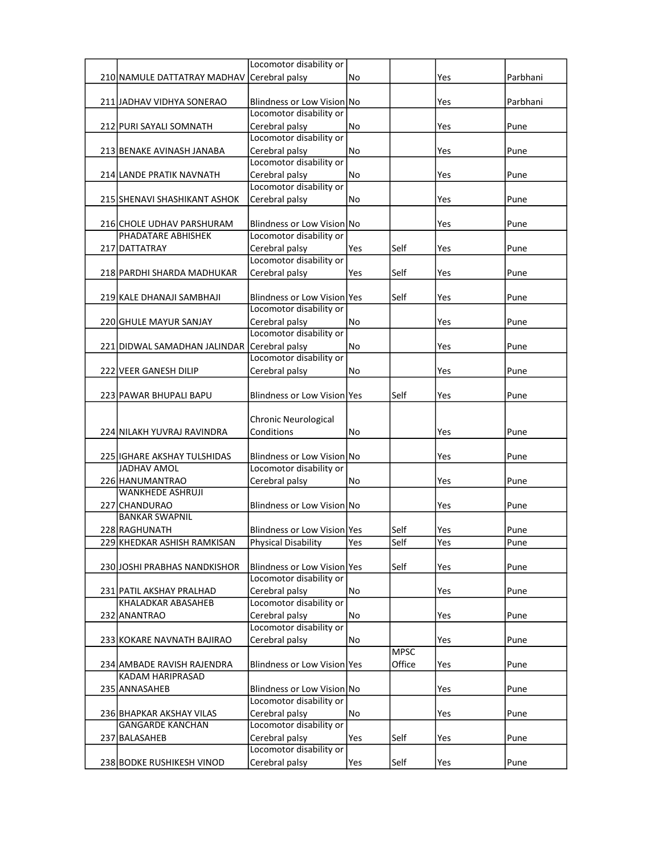|                                              | Locomotor disability or             |     |              |     |          |
|----------------------------------------------|-------------------------------------|-----|--------------|-----|----------|
| 210 NAMULE DATTATRAY MADHAV Cerebral palsy   |                                     | No  |              | Yes | Parbhani |
|                                              |                                     |     |              |     |          |
| 211 JADHAV VIDHYA SONERAO                    | Blindness or Low Vision No          |     |              | Yes | Parbhani |
|                                              | Locomotor disability or             |     |              |     |          |
| 212 PURI SAYALI SOMNATH                      | Cerebral palsy                      | No  |              | Yes | Pune     |
|                                              | Locomotor disability or             |     |              |     |          |
| 213 BENAKE AVINASH JANABA                    | Cerebral palsy                      | No  |              | Yes | Pune     |
|                                              | Locomotor disability or             |     |              |     |          |
| 214 LANDE PRATIK NAVNATH                     | Cerebral palsy                      | No  |              | Yes | Pune     |
|                                              | Locomotor disability or             |     |              |     |          |
| 215 SHENAVI SHASHIKANT ASHOK                 | Cerebral palsy                      | No  |              | Yes | Pune     |
|                                              |                                     |     |              |     |          |
| 216 CHOLE UDHAV PARSHURAM                    | Blindness or Low Vision No          |     |              | Yes | Pune     |
| PHADATARE ABHISHEK                           | Locomotor disability or             |     |              |     |          |
| 217 DATTATRAY                                | Cerebral palsy                      | Yes | Self         | Yes | Pune     |
|                                              | Locomotor disability or             |     |              |     |          |
| 218 PARDHI SHARDA MADHUKAR                   | Cerebral palsy                      | Yes | Self         | Yes | Pune     |
|                                              |                                     |     |              |     |          |
| 219 KALE DHANAJI SAMBHAJI                    | <b>Blindness or Low Vision lYes</b> |     | Self         | Yes | Pune     |
|                                              | Locomotor disability or             |     |              |     |          |
| 220 GHULE MAYUR SANJAY                       | Cerebral palsy                      | No  |              | Yes | Pune     |
|                                              | Locomotor disability or             |     |              |     |          |
| 221 DIDWAL SAMADHAN JALINDAR Cerebral palsy  |                                     | No  |              | Yes | Pune     |
|                                              | Locomotor disability or             |     |              |     |          |
| 222 VEER GANESH DILIP                        | Cerebral palsy                      | No  |              | Yes | Pune     |
|                                              |                                     |     |              |     |          |
| 223 PAWAR BHUPALI BAPU                       | Blindness or Low Vision Yes         |     | Self         | Yes | Pune     |
|                                              |                                     |     |              |     |          |
|                                              | Chronic Neurological                |     |              |     |          |
| 224 NILAKH YUVRAJ RAVINDRA                   | Conditions                          | No  |              | Yes | Pune     |
|                                              |                                     |     |              |     |          |
| 225 IGHARE AKSHAY TULSHIDAS<br>JADHAV AMOL   | Blindness or Low Vision No          |     |              | Yes | Pune     |
|                                              | Locomotor disability or             |     |              |     |          |
| 226 HANUMANTRAO<br><b>WANKHEDE ASHRUJI</b>   | Cerebral palsy                      | No  |              | Yes | Pune     |
|                                              |                                     |     |              |     |          |
| 227 CHANDURAO<br><b>BANKAR SWAPNIL</b>       | Blindness or Low Vision No          |     |              | Yes | Pune     |
|                                              | Blindness or Low Vision Yes         |     |              |     |          |
| 228 RAGHUNATH<br>229 KHEDKAR ASHISH RAMKISAN | <b>Physical Disability</b>          | Yes | Self<br>Self | Yes | Pune     |
|                                              |                                     |     |              | Yes | rune     |
|                                              | Blindness or Low Vision Yes         |     | Self         |     |          |
| 230 JOSHI PRABHAS NANDKISHOR                 | Locomotor disability or             |     |              | Yes | Pune     |
| 231 PATIL AKSHAY PRALHAD                     | Cerebral palsy                      | No  |              | Yes | Pune     |
| KHALADKAR ABASAHEB                           | Locomotor disability or             |     |              |     |          |
| 232 ANANTRAO                                 | Cerebral palsy                      | No  |              | Yes | Pune     |
|                                              | Locomotor disability or             |     |              |     |          |
| 233 KOKARE NAVNATH BAJIRAO                   | Cerebral palsy                      | No  |              | Yes | Pune     |
|                                              |                                     |     | <b>MPSC</b>  |     |          |
| 234 AMBADE RAVISH RAJENDRA                   | Blindness or Low Vision Yes         |     | Office       | Yes | Pune     |
| KADAM HARIPRASAD                             |                                     |     |              |     |          |
| 235 ANNASAHEB                                | Blindness or Low Vision No          |     |              | Yes | Pune     |
|                                              | Locomotor disability or             |     |              |     |          |
| 236 BHAPKAR AKSHAY VILAS                     | Cerebral palsy                      | No  |              | Yes | Pune     |
| <b>GANGARDE KANCHAN</b>                      | Locomotor disability or             |     |              |     |          |
| 237 BALASAHEB                                | Cerebral palsy                      | Yes | Self         | Yes | Pune     |
|                                              | Locomotor disability or             |     |              |     |          |
| 238 BODKE RUSHIKESH VINOD                    | Cerebral palsy                      | Yes | Self         | Yes | Pune     |
|                                              |                                     |     |              |     |          |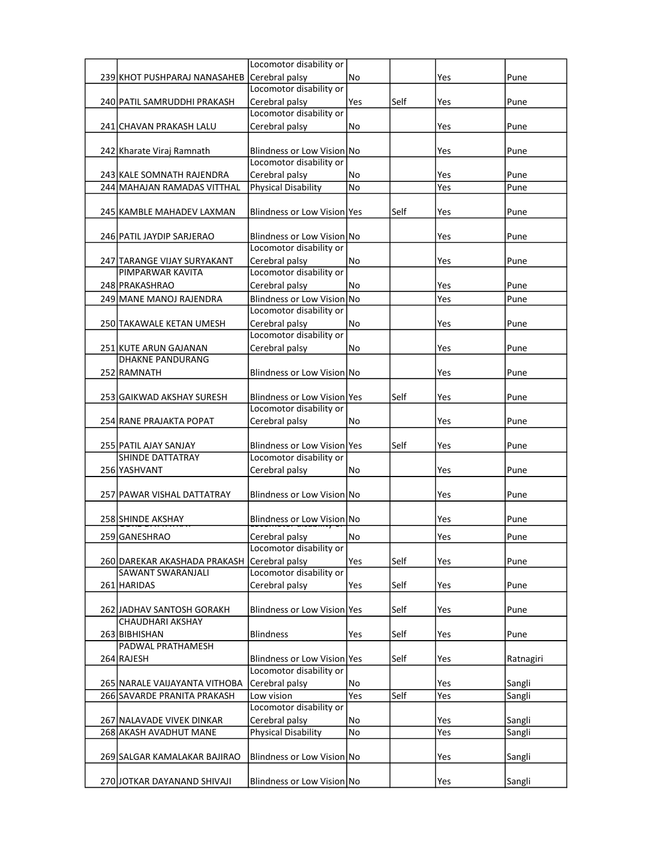|                                                  | Locomotor disability or                   |     |      |     |           |
|--------------------------------------------------|-------------------------------------------|-----|------|-----|-----------|
| 239 KHOT PUSHPARAJ NANASAHEB                     | Cerebral palsy                            | No  |      | Yes | Pune      |
|                                                  | Locomotor disability or                   |     |      |     |           |
| 240 PATIL SAMRUDDHI PRAKASH                      | Cerebral palsy                            | Yes | Self | Yes | Pune      |
|                                                  | Locomotor disability or                   |     |      |     |           |
| 241 CHAVAN PRAKASH LALU                          | Cerebral palsy                            | No  |      | Yes | Pune      |
|                                                  |                                           |     |      |     |           |
| 242 Kharate Viraj Ramnath                        | Blindness or Low Vision No                |     |      | Yes | Pune      |
|                                                  | Locomotor disability or                   |     |      |     |           |
| 243 KALE SOMNATH RAJENDRA                        | Cerebral palsy                            | No  |      | Yes | Pune      |
| 244 MAHAJAN RAMADAS VITTHAL                      | <b>Physical Disability</b>                | No  |      | Yes | Pune      |
|                                                  |                                           |     |      |     |           |
| 245 KAMBLE MAHADEV LAXMAN                        | Blindness or Low Vision Yes               |     | Self | Yes | Pune      |
|                                                  |                                           |     |      |     |           |
| 246 PATIL JAYDIP SARJERAO                        | Blindness or Low Vision No                |     |      | Yes | Pune      |
|                                                  | Locomotor disability or                   |     |      |     |           |
| 247 TARANGE VIJAY SURYAKANT<br>PIMPARWAR KAVITA  | Cerebral palsy<br>Locomotor disability or | No  |      | Yes | Pune      |
|                                                  |                                           |     |      |     |           |
| 248 PRAKASHRAO                                   | Cerebral palsy                            | No  |      | Yes | Pune      |
| 249 MANE MANOJ RAJENDRA                          | Blindness or Low Vision No                |     |      | Yes | Pune      |
|                                                  | Locomotor disability or                   |     |      |     |           |
| 250 TAKAWALE KETAN UMESH                         | Cerebral palsy<br>Locomotor disability or | No  |      | Yes | Pune      |
|                                                  |                                           |     |      |     |           |
| 251 KUTE ARUN GAJANAN<br><b>DHAKNE PANDURANG</b> | Cerebral palsy                            | No  |      | Yes | Pune      |
| 252 RAMNATH                                      | Blindness or Low Vision No                |     |      | Yes | Pune      |
|                                                  |                                           |     |      |     |           |
| 253 GAIKWAD AKSHAY SURESH                        | Blindness or Low Vision Yes               |     | Self | Yes | Pune      |
|                                                  | Locomotor disability or                   |     |      |     |           |
| 254 RANE PRAJAKTA POPAT                          | Cerebral palsy                            | No  |      | Yes | Pune      |
|                                                  |                                           |     |      |     |           |
| 255 PATIL AJAY SANJAY                            | Blindness or Low Vision Yes               |     | Self | Yes | Pune      |
| <b>SHINDE DATTATRAY</b>                          | Locomotor disability or                   |     |      |     |           |
| 256 YASHVANT                                     | Cerebral palsy                            | No  |      | Yes | Pune      |
|                                                  |                                           |     |      |     |           |
| 257 PAWAR VISHAL DATTATRAY                       | Blindness or Low Vision No                |     |      | Yes | Pune      |
|                                                  |                                           |     |      |     |           |
| 258 SHINDE AKSHAY                                | Blindness or Low Vision No                |     |      | Yes | Pune      |
| 259 GANESHRAO                                    | Cerebral palsy                            | No  |      | Yes | Pune      |
|                                                  | Locomotor disability or                   |     |      |     |           |
| 260 DAREKAR AKASHADA PRAKASH                     | Cerebral palsy                            | Yes | Self | Yes | Pune      |
| SAWANT SWARANJALI                                | Locomotor disability or                   |     |      |     |           |
| 261 HARIDAS                                      | Cerebral palsy                            | Yes | Self | Yes | Pune      |
|                                                  |                                           |     |      |     |           |
| 262 JADHAV SANTOSH GORAKH                        | Blindness or Low Vision Yes               |     | Self | Yes | Pune      |
| <b>CHAUDHARI AKSHAY</b>                          |                                           |     |      |     |           |
| 263 BIBHISHAN                                    | <b>Blindness</b>                          | Yes | Self | Yes | Pune      |
| PADWAL PRATHAMESH                                |                                           |     |      |     |           |
| 264 RAJESH                                       | Blindness or Low Vision Yes               |     | Self | Yes | Ratnagiri |
|                                                  | Locomotor disability or                   |     |      |     |           |
| 265 NARALE VAIJAYANTA VITHOBA                    | Cerebral palsy                            | No  |      | Yes | Sangli    |
| 266 SAVARDE PRANITA PRAKASH                      | Low vision                                | Yes | Self | Yes | Sangli    |
|                                                  | Locomotor disability or                   |     |      |     |           |
| 267 NALAVADE VIVEK DINKAR                        | Cerebral palsy                            | No  |      | Yes | Sangli    |
| 268 AKASH AVADHUT MANE                           | Physical Disability                       | No  |      | Yes | Sangli    |
| 269 SALGAR KAMALAKAR BAJIRAO                     | Blindness or Low Vision No                |     |      | Yes | Sangli    |
|                                                  |                                           |     |      |     |           |
| 270 JOTKAR DAYANAND SHIVAJI                      | Blindness or Low Vision No                |     |      | Yes | Sangli    |
|                                                  |                                           |     |      |     |           |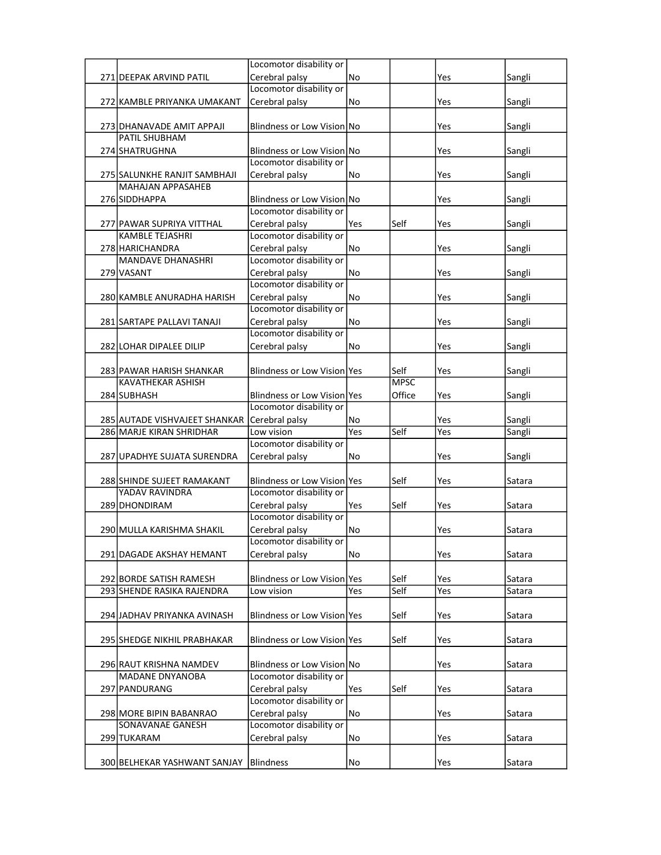|                               | Locomotor disability or     |     |             |     |        |
|-------------------------------|-----------------------------|-----|-------------|-----|--------|
| 271 DEEPAK ARVIND PATIL       | Cerebral palsy              | No  |             | Yes | Sangli |
|                               | Locomotor disability or     |     |             |     |        |
| 272 KAMBLE PRIYANKA UMAKANT   | Cerebral palsy              | No  |             | Yes | Sangli |
|                               |                             |     |             |     |        |
| 273 DHANAVADE AMIT APPAJI     | Blindness or Low Vision No  |     |             | Yes | Sangli |
| PATIL SHUBHAM                 |                             |     |             |     |        |
| 274 SHATRUGHNA                | Blindness or Low Vision No  |     |             | Yes | Sangli |
|                               | Locomotor disability or     |     |             |     |        |
| 275 SALUNKHE RANJIT SAMBHAJI  | Cerebral palsv              | No  |             | Yes | Sangli |
| <b>MAHAJAN APPASAHEB</b>      |                             |     |             |     |        |
| 276 SIDDHAPPA                 | Blindness or Low Vision No  |     |             | Yes | Sangli |
|                               | Locomotor disability or     |     |             |     |        |
| 277 PAWAR SUPRIYA VITTHAL     | Cerebral palsy              | Yes | Self        | Yes | Sangli |
| <b>KAMBLE TEJASHRI</b>        | Locomotor disability or     |     |             |     |        |
| 278 HARICHANDRA               | Cerebral palsy              | No  |             | Yes | Sangli |
| <b>MANDAVE DHANASHRI</b>      | Locomotor disability or     |     |             |     |        |
| 279 VASANT                    | Cerebral palsy              | No  |             | Yes | Sangli |
|                               | Locomotor disability or     |     |             |     |        |
| 280 KAMBLE ANURADHA HARISH    | Cerebral palsy              | No  |             | Yes | Sangli |
|                               | Locomotor disability or     |     |             |     |        |
| 281 SARTAPE PALLAVI TANAJI    | Cerebral palsy              | No  |             | Yes | Sangli |
|                               | Locomotor disability or     |     |             |     |        |
| 282 LOHAR DIPALEE DILIP       | Cerebral palsy              | No  |             | Yes | Sangli |
|                               |                             |     |             |     |        |
| 283 PAWAR HARISH SHANKAR      | Blindness or Low Vision Yes |     | Self        | Yes | Sangli |
| <b>KAVATHEKAR ASHISH</b>      |                             |     | <b>MPSC</b> |     |        |
| 284 SUBHASH                   | Blindness or Low Vision Yes |     | Office      | Yes | Sangli |
|                               | Locomotor disability or     |     |             |     |        |
|                               |                             |     |             |     |        |
| 285 AUTADE VISHVAJEET SHANKAR | Cerebral palsy              | No  |             | Yes | Sangli |
| 286 MARJE KIRAN SHRIDHAR      | Low vision                  | Yes | Self        | Yes | Sangli |
|                               | Locomotor disability or     |     |             |     |        |
| 287 UPADHYE SUJATA SURENDRA   | Cerebral palsy              | No  |             | Yes | Sangli |
|                               |                             |     |             |     |        |
| 288 SHINDE SUJEET RAMAKANT    | Blindness or Low Vision Yes |     | Self        | Yes | Satara |
| YADAV RAVINDRA                | Locomotor disability or     |     |             |     |        |
| 289 DHONDIRAM                 | Cerebral palsy              | Yes | Self        | Yes | Satara |
|                               | Locomotor disability or     |     |             |     |        |
| 290 MULLA KARISHMA SHAKIL     | Cerebral palsy              | No  |             | Yes | Satara |
|                               | Locomotor disability or     |     |             |     |        |
| 291 DAGADE AKSHAY HEMANT      | Cerebral palsy              | No  |             | Yes | Satara |
|                               |                             |     |             |     |        |
| 292 BORDE SATISH RAMESH       | Blindness or Low Vision Yes |     | Self        | Yes | Satara |
| 293 SHENDE RASIKA RAJENDRA    | Low vision                  | Yes | Self        | Yes | Satara |
|                               |                             |     |             |     |        |
| 294 JADHAV PRIYANKA AVINASH   | Blindness or Low Vision Yes |     | Self        | Yes | Satara |
|                               |                             |     |             |     |        |
| 295 SHEDGE NIKHIL PRABHAKAR   | Blindness or Low Vision Yes |     | Self        | Yes | Satara |
|                               |                             |     |             |     |        |
| 296 RAUT KRISHNA NAMDEV       | Blindness or Low Vision No  |     |             | Yes | Satara |
| <b>MADANE DNYANOBA</b>        | Locomotor disability or     |     |             |     |        |
| 297 PANDURANG                 | Cerebral palsy              | Yes | Self        | Yes | Satara |
|                               | Locomotor disability or     |     |             |     |        |
| 298 MORE BIPIN BABANRAO       | Cerebral palsy              | No  |             | Yes | Satara |
| SONAVANAE GANESH              | Locomotor disability or     |     |             |     |        |
| 299 TUKARAM                   | Cerebral palsy              | No  |             | Yes | Satara |
| 300 BELHEKAR YASHWANT SANJAY  | <b>Blindness</b>            | No  |             | Yes | Satara |